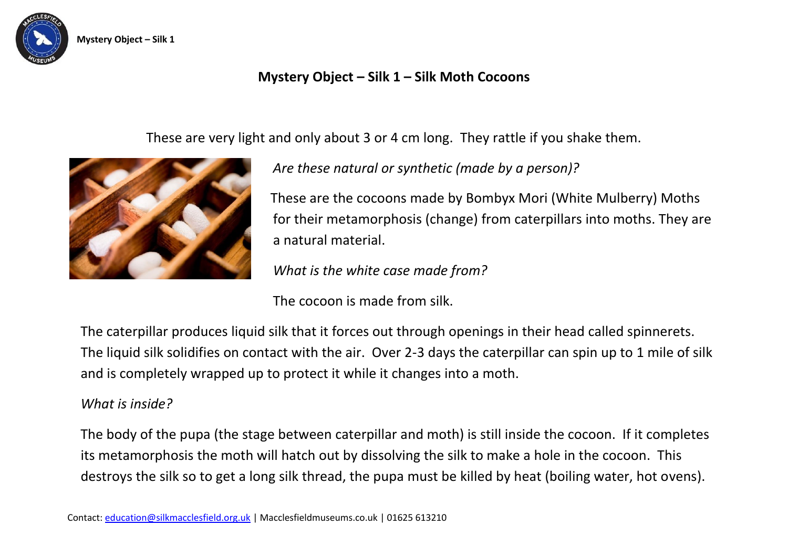

## **Mystery Object – Silk 1 – Silk Moth Cocoons**

These are very light and only about 3 or 4 cm long. They rattle if you shake them.



*Are these natural or synthetic (made by a person)?* 

These are the cocoons made by Bombyx Mori (White Mulberry) Moths for their metamorphosis (change) from caterpillars into moths. They are a natural material.

*What is the white case made from?* 

The cocoon is made from silk.

The caterpillar produces liquid silk that it forces out through openings in their head called spinnerets. The liquid silk solidifies on contact with the air. Over 2-3 days the caterpillar can spin up to 1 mile of silk and is completely wrapped up to protect it while it changes into a moth.

## *What is inside?*

The body of the pupa (the stage between caterpillar and moth) is still inside the cocoon. If it completes its metamorphosis the moth will hatch out by dissolving the silk to make a hole in the cocoon. This destroys the silk so to get a long silk thread, the pupa must be killed by heat (boiling water, hot ovens).